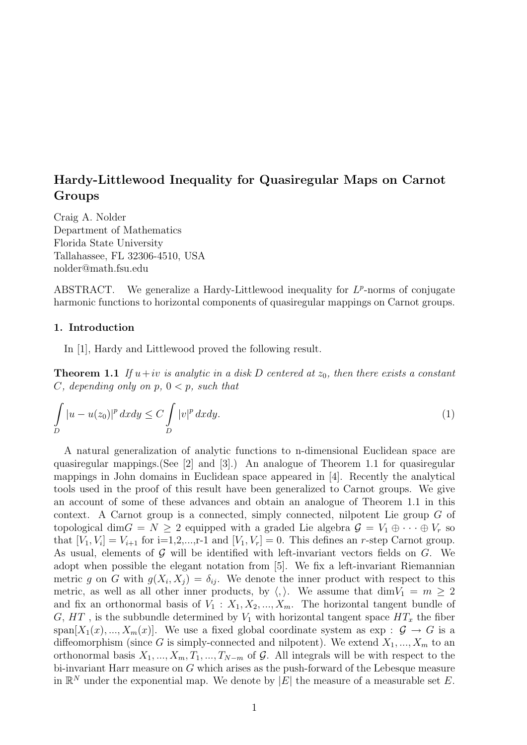# Hardy-Littlewood Inequality for Quasiregular Maps on Carnot Groups

Craig A. Nolder Department of Mathematics Florida State University Tallahassee, FL 32306-4510, USA nolder@math.fsu.edu

ABSTRACT. We generalize a Hardy-Littlewood inequality for  $L^p$ -norms of conjugate harmonic functions to horizontal components of quasiregular mappings on Carnot groups.

# 1. Introduction

In [1], Hardy and Littlewood proved the following result.

**Theorem 1.1** If  $u+iv$  is analytic in a disk D centered at  $z_0$ , then there exists a constant C, depending only on  $p, 0 < p$ , such that

$$
\int_{D} |u - u(z_0)|^p dx dy \le C \int_{D} |v|^p dx dy.
$$
\n(1)

A natural generalization of analytic functions to n-dimensional Euclidean space are quasiregular mappings.(See [2] and [3].) An analogue of Theorem 1.1 for quasiregular mappings in John domains in Euclidean space appeared in [4]. Recently the analytical tools used in the proof of this result have been generalized to Carnot groups. We give an account of some of these advances and obtain an analogue of Theorem 1.1 in this context. A Carnot group is a connected, simply connected, nilpotent Lie group G of topological dim $G = N \geq 2$  equipped with a graded Lie algebra  $\mathcal{G} = V_1 \oplus \cdots \oplus V_r$  so that  $[V_1, V_i] = V_{i+1}$  for  $i=1,2,...,r-1$  and  $[V_1, V_r] = 0$ . This defines an r-step Carnot group. As usual, elements of  $G$  will be identified with left-invariant vectors fields on  $G$ . We adopt when possible the elegant notation from [5]. We fix a left-invariant Riemannian metric g on G with  $g(X_i, X_j) = \delta_{ij}$ . We denote the inner product with respect to this metric, as well as all other inner products, by  $\langle, \rangle$ . We assume that dim $V_1 = m \geq 2$ and fix an orthonormal basis of  $V_1 : X_1, X_2, ..., X_m$ . The horizontal tangent bundle of G, HT, is the subbundle determined by  $V_1$  with horizontal tangent space  $HT_x$  the fiber span $[X_1(x),...,X_m(x)]$ . We use a fixed global coordinate system as exp :  $\mathcal{G} \to G$  is a diffeomorphism (since G is simply-connected and nilpotent). We extend  $X_1, ..., X_m$  to an orthonormal basis  $X_1, ..., X_m, T_1, ..., T_{N-m}$  of G. All integrals will be with respect to the bi-invariant Harr measure on  $G$  which arises as the push-forward of the Lebesque measure in  $\mathbb{R}^N$  under the exponential map. We denote by |E| the measure of a measurable set E.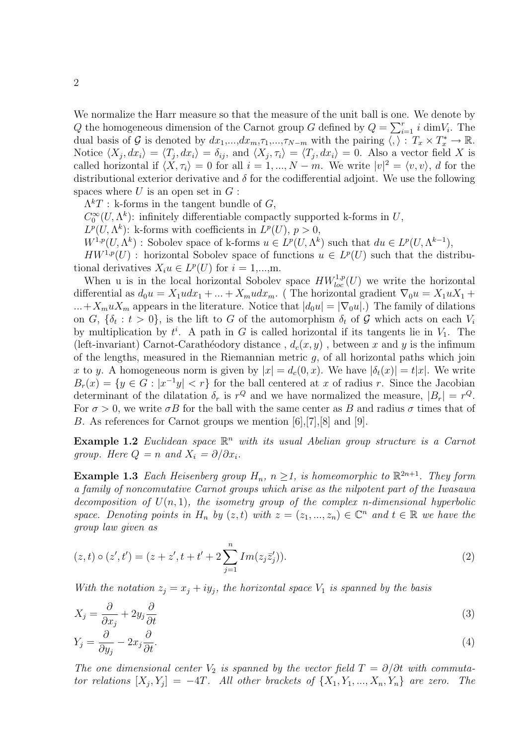We normalize the Harr measure so that the measure of the unit ball is one. We denote by Q the homogeneous dimension of the Carnot group G defined by  $Q = \sum_{i=1}^{r} i \dim V_i$ . The dual basis of G is denoted by  $dx_1,...,dx_m,\tau_1,...,\tau_{N-m}$  with the pairing  $\langle , \rangle : T_x \times T_x^* \to \mathbb{R}$ . Notice  $\langle X_j, dx_i \rangle = \langle T_j, dx_i \rangle = \delta_{ij}$ , and  $\langle X_j, \tau_i \rangle = \langle T_j, dx_i \rangle = 0$ . Also a vector field X is called horizontal if  $\langle X, \tau_i \rangle = 0$  for all  $i = 1, ..., N - m$ . We write  $|v|^2 = \langle v, v \rangle$ , d for the distributional exterior derivative and  $\delta$  for the codifferential adjoint. We use the following spaces where  $U$  is an open set in  $G$ :

 $\Lambda^k T$ : k-forms in the tangent bundle of G,

 $C_0^{\infty}(U,\Lambda^k)$ : infinitely differentiable compactly supported k-forms in U,

 $L^p(U, \Lambda^k)$ : k-forms with coefficients in  $L^p(U)$ ,  $p > 0$ ,

 $W^{1,p}(U,\Lambda^k)$ : Sobolev space of k-forms  $u \in L^p(U,\Lambda^k)$  such that  $du \in L^p(U,\Lambda^{k-1}),$ 

 $HW^{1,p}(U)$ : horizontal Sobolev space of functions  $u \in L^p(U)$  such that the distributional derivatives  $X_i u \in L^p(U)$  for  $i = 1,...,m$ .

When u is in the local horizontal Sobolev space  $HW_{loc}^{1,p}(U)$  we write the horizontal differential as  $d_0u = X_1udx_1 + ... + X_mudx_m$ . (The horizontal gradient  $\nabla_0u = X_1uX_1 + ...$  $...+X_muX_m$  appears in the literature. Notice that  $|d_0u| = |\nabla_0u|$ . The family of dilations on G,  $\{\delta_t : t > 0\}$ , is the lift to G of the automorphism  $\delta_t$  of G which acts on each  $V_i$ by multiplication by  $t^i$ . A path in G is called horizontal if its tangents lie in  $V_1$ . The (left-invariant) Carnot-Carathéodory distance ,  $d_c(x, y)$ , between x and y is the infimum of the lengths, measured in the Riemannian metric  $g$ , of all horizontal paths which join x to y. A homogeneous norm is given by  $|x| = d_c(0, x)$ . We have  $|\delta_t(x)| = t|x|$ . We write  $B_r(x) = \{y \in G : |x^{-1}y| < r\}$  for the ball centered at x of radius r. Since the Jacobian determinant of the dilatation  $\delta_r$  is  $r^Q$  and we have normalized the measure,  $|B_r| = r^Q$ . For  $\sigma > 0$ , we write  $\sigma B$  for the ball with the same center as B and radius  $\sigma$  times that of B. As references for Carnot groups we mention [6],[7],[8] and [9].

**Example 1.2** Euclidean space  $\mathbb{R}^n$  with its usual Abelian group structure is a Carnot group. Here  $Q = n$  and  $X_i = \partial/\partial x_i$ .

**Example 1.3** Each Heisenberg group  $H_n$ ,  $n \geq 1$ , is homeomorphic to  $\mathbb{R}^{2n+1}$ . They form a family of noncomutative Carnot groups which arise as the nilpotent part of the Iwasawa decomposition of  $U(n, 1)$ , the isometry group of the complex n-dimensional hyperbolic space. Denoting points in  $H_n$  by  $(z, t)$  with  $z = (z_1, ..., z_n) \in \mathbb{C}^n$  and  $t \in \mathbb{R}$  we have the group law given as

$$
(z,t) \circ (z',t') = (z+z', t+t'+2\sum_{j=1}^{n} Im(z_j \bar{z}'_j)).
$$
\n(2)

With the notation  $z_i = x_j + iy_j$ , the horizontal space  $V_1$  is spanned by the basis

$$
X_j = \frac{\partial}{\partial x_j} + 2y_j \frac{\partial}{\partial t} \tag{3}
$$

$$
Y_j = \frac{\partial}{\partial y_j} - 2x_j \frac{\partial}{\partial t}.\tag{4}
$$

The one dimensional center  $V_2$  is spanned by the vector field  $T = \partial/\partial t$  with commutator relations  $[X_j, Y_j] = -4T$ . All other brackets of  $\{X_1, Y_1, ..., X_n, Y_n\}$  are zero. The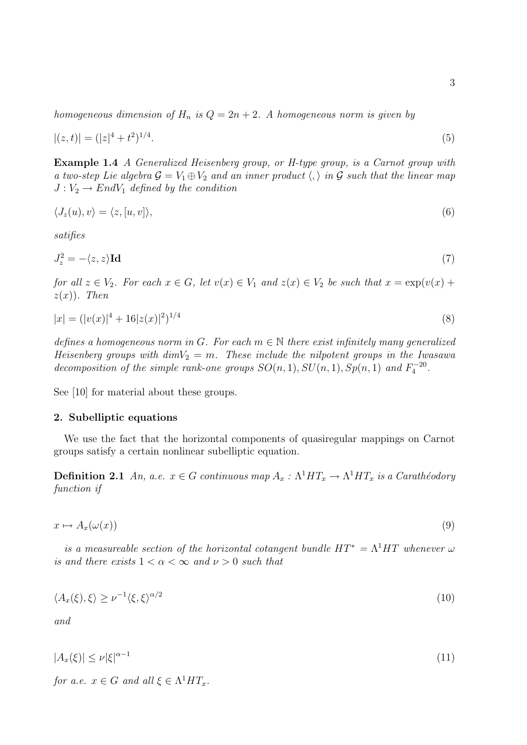homogeneous dimension of  $H_n$  is  $Q = 2n + 2$ . A homogeneous norm is given by

$$
|(z,t)| = (|z|^4 + t^2)^{1/4}.\tag{5}
$$

Example 1.4 A Generalized Heisenberg group, or H-type group, is a Carnot group with a two-step Lie algebra  $\mathcal{G} = V_1 \oplus V_2$  and an inner product  $\langle , \rangle$  in  $\mathcal G$  such that the linear map  $J: V_2 \to End V_1$  defined by the condition

$$
\langle J_z(u), v \rangle = \langle z, [u, v] \rangle, \tag{6}
$$

satifies

$$
J_z^2 = -\langle z, z \rangle \mathbf{Id} \tag{7}
$$

for all  $z \in V_2$ . For each  $x \in G$ , let  $v(x) \in V_1$  and  $z(x) \in V_2$  be such that  $x = \exp(v(x) +$  $z(x)$ ). Then

$$
|x| = (|v(x)|^4 + 16|z(x)|^2)^{1/4}
$$
\n(8)

defines a homogeneous norm in G. For each  $m \in \mathbb{N}$  there exist infinitely many generalized Heisenberg groups with  $dimV_2 = m$ . These include the nilpotent groups in the Iwasawa decomposition of the simple rank-one groups  $SO(n,1), SU(n,1), Sp(n,1)$  and  $F_4^{-20}$ .

See [10] for material about these groups.

## 2. Subelliptic equations

We use the fact that the horizontal components of quasiregular mappings on Carnot groups satisfy a certain nonlinear subelliptic equation.

**Definition 2.1** An, a.e.  $x \in G$  continuous map  $A_x : \Lambda^1 H T_x \to \Lambda^1 H T_x$  is a Carathéodory function if

$$
x \mapsto A_x(\omega(x)) \tag{9}
$$

is a measureable section of the horizontal cotangent bundle  $HT^* = \Lambda^1 HT$  whenever  $\omega$ is and there exists  $1 < \alpha < \infty$  and  $\nu > 0$  such that

$$
\langle A_x(\xi), \xi \rangle \ge \nu^{-1} \langle \xi, \xi \rangle^{\alpha/2} \tag{10}
$$

and

$$
|A_x(\xi)| \le \nu |\xi|^{\alpha - 1} \tag{11}
$$

for a.e.  $x \in G$  and all  $\xi \in \Lambda^1 HT_x$ .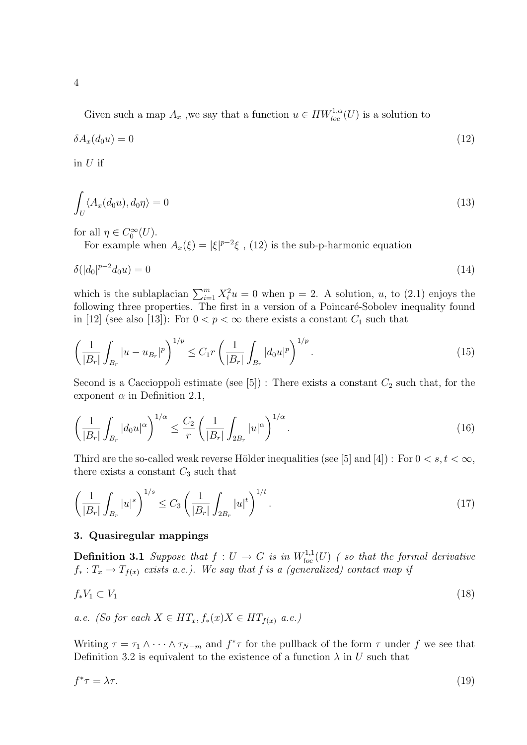Given such a map  $A_x$ , we say that a function  $u \in HW^{1,\alpha}_{loc}(U)$  is a solution to

$$
\delta A_x(d_0 u) = 0 \tag{12}
$$

in  $U$  if

$$
\int_{U} \langle A_x(d_0u), d_0\eta \rangle = 0 \tag{13}
$$

for all  $\eta \in C_0^{\infty}(U)$ .

For example when  $A_x(\xi) = |\xi|^{p-2}\xi$ , (12) is the sub-p-harmonic equation

$$
\delta(|d_0|^{p-2}d_0u) = 0\tag{14}
$$

which is the sublaplacian  $\sum_{i=1}^{m} X_i^2 u = 0$  when  $p = 2$ . A solution, u, to (2.1) enjoys the following three properties. The first in a version of a Poincaré-Sobolev inequality found in [12] (see also [13]): For  $0 < p < \infty$  there exists a constant  $C_1$  such that

$$
\left(\frac{1}{|B_r|}\int_{B_r} |u - u_{B_r}|^p\right)^{1/p} \le C_1 r \left(\frac{1}{|B_r|}\int_{B_r} |d_0 u|^p\right)^{1/p}.\tag{15}
$$

Second is a Caccioppoli estimate (see  $[5]$ ) : There exists a constant  $C_2$  such that, for the exponent  $\alpha$  in Definition 2.1,

$$
\left(\frac{1}{|B_r|}\int_{B_r} |d_0 u|^\alpha\right)^{1/\alpha} \le \frac{C_2}{r} \left(\frac{1}{|B_r|}\int_{2B_r} |u|^\alpha\right)^{1/\alpha}.\tag{16}
$$

Third are the so-called weak reverse Hölder inequalities (see [5] and [4]) : For  $0 < s, t < \infty$ , there exists a constant  $C_3$  such that

$$
\left(\frac{1}{|B_r|}\int_{B_r}|u|^s\right)^{1/s}\leq C_3\left(\frac{1}{|B_r|}\int_{2B_r}|u|^t\right)^{1/t}.\tag{17}
$$

## 3. Quasiregular mappings

**Definition 3.1** Suppose that  $f: U \to G$  is in  $W^{1,1}_{loc}(U)$  (so that the formal derivative  $f_*: T_x \to T_{f(x)}$  exists a.e.). We say that f is a (generalized) contact map if

$$
f_*V_1 \subset V_1 \tag{18}
$$

a.e. (So for each  $X \in HT_x, f_*(x)X \in HT_{f(x)}$  a.e.)

Writing  $\tau = \tau_1 \wedge \cdots \wedge \tau_{N-m}$  and  $f^* \tau$  for the pullback of the form  $\tau$  under f we see that Definition 3.2 is equivalent to the existence of a function  $\lambda$  in U such that

$$
f^*\tau = \lambda \tau. \tag{19}
$$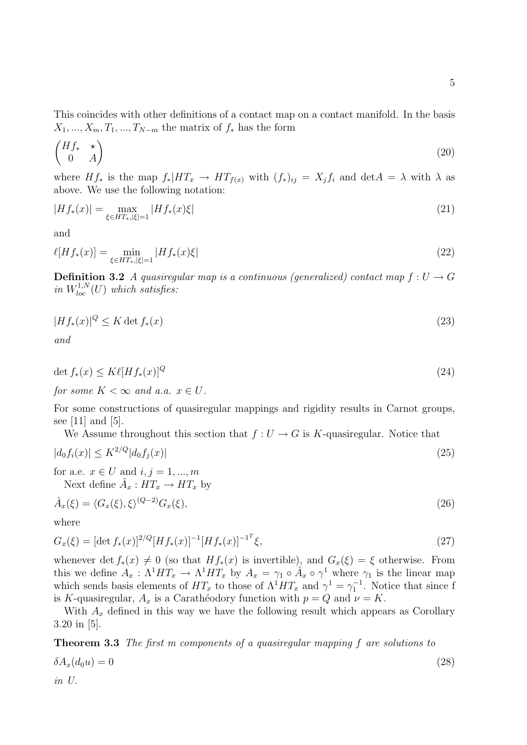This coincides with other definitions of a contact map on a contact manifold. In the basis  $X_1, ..., X_m, T_1, ..., T_{N-m}$  the matrix of  $f_*$  has the form

$$
\begin{pmatrix} Hf_* & \star \\ 0 & A \end{pmatrix} \tag{20}
$$

where  $Hf_*$  is the map  $f_*|HT_x \to HT_{f(x)}$  with  $(f_*)_{ij} = X_jf_i$  and  $\det A = \lambda$  with  $\lambda$  as above. We use the following notation:

$$
|Hf_*(x)| = \max_{\xi \in HT_*, |\xi| = 1} |Hf_*(x)\xi| \tag{21}
$$

and

$$
\ell[Hf_*(x)] = \min_{\xi \in HT_*, |\xi| = 1} |Hf_*(x)\xi| \tag{22}
$$

**Definition 3.2** A quasiregular map is a continuous (generalized) contact map  $f: U \to G$ in  $W^{1,N}_{loc}(U)$  which satisfies:

$$
|Hf_*(x)|^Q \le K \det f_*(x) \tag{23}
$$

and

$$
\det f_*(x) \le K\ell [Hf_*(x)]^Q \tag{24}
$$

for some  $K < \infty$  and a.a.  $x \in U$ .

For some constructions of quasiregular mappings and rigidity results in Carnot groups, see [11] and [5].

We Assume throughout this section that  $f: U \to G$  is K-quasiregular. Notice that

$$
|d_0 f_i(x)| \le K^{2/Q} |d_0 f_j(x)| \tag{25}
$$

for a.e.  $x \in U$  and  $i, j = 1, ..., m$ 

Next define  $\hat{A}_x : HT_x \to HT_x$  by

$$
\hat{A}_x(\xi) = \langle G_x(\xi), \xi \rangle^{(Q-2)} G_x(\xi),\tag{26}
$$

where

$$
G_x(\xi) = [\det f_*(x)]^{2/Q} [Hf_*(x)]^{-1} [Hf_*(x)]^{-1} \xi,
$$
\n(27)

whenever det  $f_*(x) \neq 0$  (so that  $Hf_*(x)$  is invertible), and  $G_x(\xi) = \xi$  otherwise. From this we define  $A_x : \Lambda^1 H T_x \to \Lambda^1 H T_x$  by  $A_x = \gamma_1 \circ \hat{A}_x \circ \gamma^1$  where  $\gamma_1$  is the linear map which sends basis elements of  $HT_x$  to those of  $\Lambda^1 HT_x$  and  $\gamma^1 = \gamma_1^{-1}$ . Notice that since f is K-quasiregular,  $A_x$  is a Carathéodory function with  $p = Q$  and  $\nu = K$ .

With  $A_x$  defined in this way we have the following result which appears as Corollary 3.20 in [5].

Theorem 3.3 The first m components of a quasiregular mapping f are solutions to  $\delta A_x(d_0u) = 0$  (28) in U.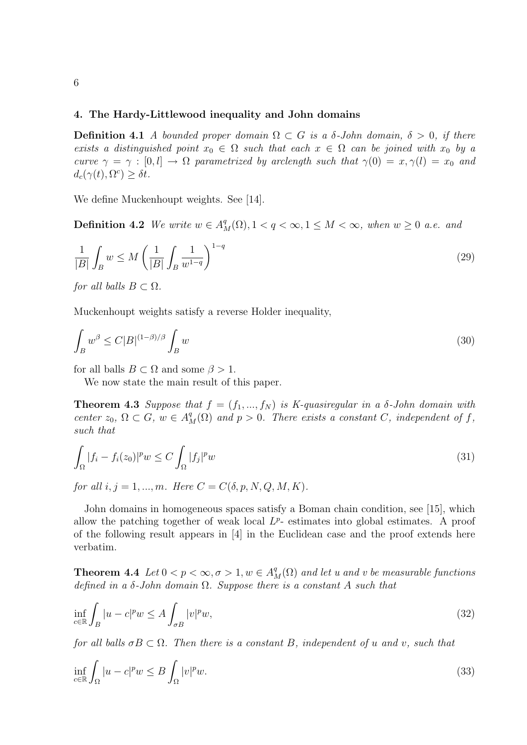## 4. The Hardy-Littlewood inequality and John domains

**Definition 4.1** A bounded proper domain  $\Omega \subset G$  is a  $\delta$ -John domain,  $\delta > 0$ , if there exists a distinguished point  $x_0 \in \Omega$  such that each  $x \in \Omega$  can be joined with  $x_0$  by a curve  $\gamma = \gamma : [0, l] \rightarrow \Omega$  parametrized by arclength such that  $\gamma(0) = x, \gamma(l) = x_0$  and  $d_c(\gamma(t), \Omega^c) \geq \delta t.$ 

We define Muckenhoupt weights. See [14].

**Definition 4.2** We write  $w \in A^q_M(\Omega)$ ,  $1 < q < \infty$ ,  $1 \leq M < \infty$ , when  $w \geq 0$  a.e. and

$$
\frac{1}{|B|} \int_B w \le M \left( \frac{1}{|B|} \int_B \frac{1}{w^{1-q}} \right)^{1-q} \tag{29}
$$

for all balls  $B \subset \Omega$ .

Muckenhoupt weights satisfy a reverse Holder inequality,

$$
\int_{B} w^{\beta} \le C|B|^{(1-\beta)/\beta} \int_{B} w \tag{30}
$$

for all balls  $B \subset \Omega$  and some  $\beta > 1$ .

We now state the main result of this paper.

**Theorem 4.3** Suppose that  $f = (f_1, ..., f_N)$  is K-quasiregular in a  $\delta$ -John domain with center  $z_0$ ,  $\Omega \subset G$ ,  $w \in A^q_M(\Omega)$  and  $p > 0$ . There exists a constant C, independent of f, such that

$$
\int_{\Omega} |f_i - f_i(z_0)|^p w \le C \int_{\Omega} |f_j|^p w \tag{31}
$$

for all  $i, j = 1, ..., m$ . Here  $C = C(\delta, p, N, Q, M, K)$ .

John domains in homogeneous spaces satisfy a Boman chain condition, see [15], which allow the patching together of weak local  $L^{p}$ - estimates into global estimates. A proof of the following result appears in [4] in the Euclidean case and the proof extends here verbatim.

**Theorem 4.4** Let  $0 < p < \infty, \sigma > 1, w \in A^q_M(\Omega)$  and let u and v be measurable functions defined in a  $\delta$ -John domain  $\Omega$ . Suppose there is a constant A such that

$$
\inf_{c \in \mathbb{R}} \int_{B} |u - c|^p w \le A \int_{\sigma B} |v|^p w,\tag{32}
$$

for all balls  $\sigma B \subset \Omega$ . Then there is a constant B, independent of u and v, such that

$$
\inf_{c \in \mathbb{R}} \int_{\Omega} |u - c|^p w \le B \int_{\Omega} |v|^p w. \tag{33}
$$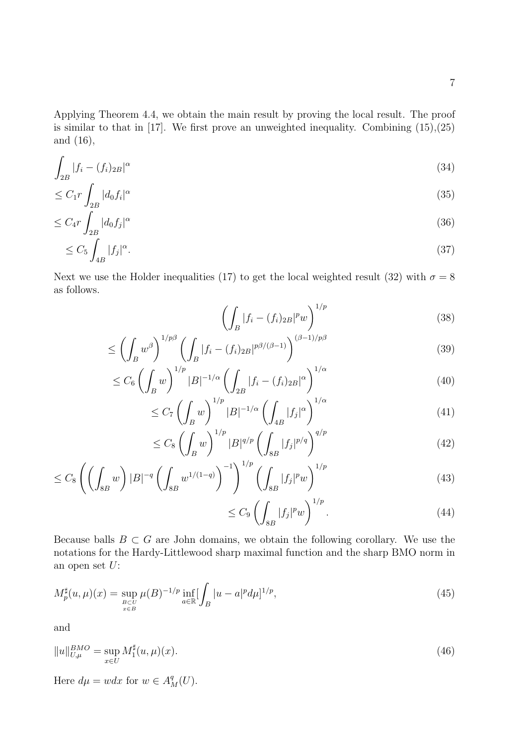Applying Theorem 4.4, we obtain the main result by proving the local result. The proof is similar to that in  $[17]$ . We first prove an unweighted inequality. Combining  $(15),(25)$ and (16),

$$
\int_{2B} |f_i - (f_i)_{2B}|^{\alpha} \tag{34}
$$

$$
\leq C_1 r \int_{2B} |d_0 f_i|^\alpha \tag{35}
$$

$$
\leq C_4 r \int_{2B} |d_0 f_j|^\alpha \tag{36}
$$

$$
\leq C_5 \int_{4B} |f_j|^\alpha. \tag{37}
$$

Next we use the Holder inequalities (17) to get the local weighted result (32) with  $\sigma = 8$ as follows.

$$
\left(\int_{B} |f_i - (f_i)_{2B}|^p w\right)^{1/p} \tag{38}
$$

$$
\leq \left(\int_B w^\beta\right)^{1/p\beta} \left(\int_B |f_i - (f_i)_{2B}|^{p\beta/(\beta - 1)}\right)^{(\beta - 1)/p\beta} \tag{39}
$$

$$
\leq C_6 \left( \int_B w \right)^{1/p} |B|^{-1/\alpha} \left( \int_{2B} |f_i - (f_i)_{2B}|^{\alpha} \right)^{1/\alpha} \tag{40}
$$

$$
\leq C_7 \left( \int_B w \right)^{1/p} |B|^{-1/\alpha} \left( \int_{4B} |f_j|^\alpha \right)^{1/\alpha} \tag{41}
$$

$$
\leq C_8 \left( \int_B w \right)^{1/p} |B|^{q/p} \left( \int_{8B} |f_j|^{p/q} \right)^{q/p} \tag{42}
$$

$$
\leq C_8 \left( \left( \int_{8B} w \right) |B|^{-q} \left( \int_{8B} w^{1/(1-q)} \right)^{-1} \right)^{1/p} \left( \int_{8B} |f_j|^p w \right)^{1/p} \tag{43}
$$

$$
\leq C_9 \left( \int_{8B} |f_j|^p w \right)^{1/p}.\tag{44}
$$

Because balls  $B \subset G$  are John domains, we obtain the following corollary. We use the notations for the Hardy-Littlewood sharp maximal function and the sharp BMO norm in an open set  $U$ :

$$
M_p^{\sharp}(u,\mu)(x) = \sup_{B \subset U \atop x \in B} \mu(B)^{-1/p} \inf_{a \in \mathbb{R}} \left[ \int_B |u - a|^p d\mu \right]^{1/p},\tag{45}
$$

and

$$
||u||_{U,\mu}^{BMO} = \sup_{x \in U} M_1^{\sharp}(u,\mu)(x).
$$
 (46)

Here  $d\mu = wdx$  for  $w \in A_M^q(U)$ .